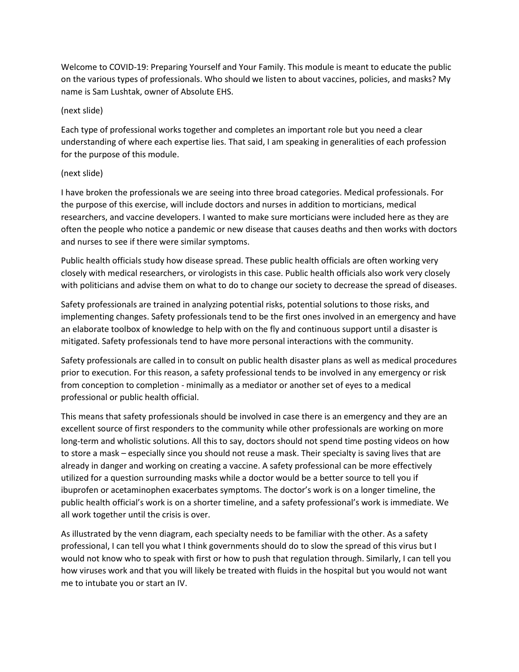Welcome to COVID-19: Preparing Yourself and Your Family. This module is meant to educate the public on the various types of professionals. Who should we listen to about vaccines, policies, and masks? My name is Sam Lushtak, owner of Absolute EHS.

### (next slide)

Each type of professional works together and completes an important role but you need a clear understanding of where each expertise lies. That said, I am speaking in generalities of each profession for the purpose of this module.

### (next slide)

I have broken the professionals we are seeing into three broad categories. Medical professionals. For the purpose of this exercise, will include doctors and nurses in addition to morticians, medical researchers, and vaccine developers. I wanted to make sure morticians were included here as they are often the people who notice a pandemic or new disease that causes deaths and then works with doctors and nurses to see if there were similar symptoms.

Public health officials study how disease spread. These public health officials are often working very closely with medical researchers, or virologists in this case. Public health officials also work very closely with politicians and advise them on what to do to change our society to decrease the spread of diseases.

Safety professionals are trained in analyzing potential risks, potential solutions to those risks, and implementing changes. Safety professionals tend to be the first ones involved in an emergency and have an elaborate toolbox of knowledge to help with on the fly and continuous support until a disaster is mitigated. Safety professionals tend to have more personal interactions with the community.

Safety professionals are called in to consult on public health disaster plans as well as medical procedures prior to execution. For this reason, a safety professional tends to be involved in any emergency or risk from conception to completion - minimally as a mediator or another set of eyes to a medical professional or public health official.

This means that safety professionals should be involved in case there is an emergency and they are an excellent source of first responders to the community while other professionals are working on more long-term and wholistic solutions. All this to say, doctors should not spend time posting videos on how to store a mask – especially since you should not reuse a mask. Their specialty is saving lives that are already in danger and working on creating a vaccine. A safety professional can be more effectively utilized for a question surrounding masks while a doctor would be a better source to tell you if ibuprofen or acetaminophen exacerbates symptoms. The doctor's work is on a longer timeline, the public health official's work is on a shorter timeline, and a safety professional's work is immediate. We all work together until the crisis is over.

As illustrated by the venn diagram, each specialty needs to be familiar with the other. As a safety professional, I can tell you what I think governments should do to slow the spread of this virus but I would not know who to speak with first or how to push that regulation through. Similarly, I can tell you how viruses work and that you will likely be treated with fluids in the hospital but you would not want me to intubate you or start an IV.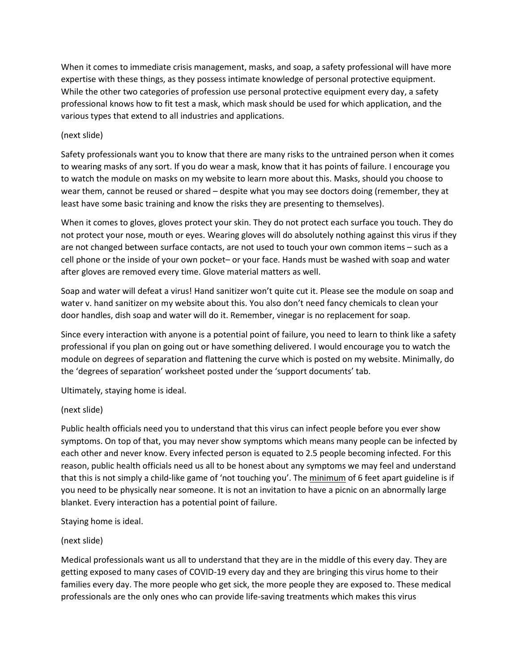When it comes to immediate crisis management, masks, and soap, a safety professional will have more expertise with these things, as they possess intimate knowledge of personal protective equipment. While the other two categories of profession use personal protective equipment every day, a safety professional knows how to fit test a mask, which mask should be used for which application, and the various types that extend to all industries and applications.

#### (next slide)

Safety professionals want you to know that there are many risks to the untrained person when it comes to wearing masks of any sort. If you do wear a mask, know that it has points of failure. I encourage you to watch the module on masks on my website to learn more about this. Masks, should you choose to wear them, cannot be reused or shared – despite what you may see doctors doing (remember, they at least have some basic training and know the risks they are presenting to themselves).

When it comes to gloves, gloves protect your skin. They do not protect each surface you touch. They do not protect your nose, mouth or eyes. Wearing gloves will do absolutely nothing against this virus if they are not changed between surface contacts, are not used to touch your own common items – such as a cell phone or the inside of your own pocket– or your face. Hands must be washed with soap and water after gloves are removed every time. Glove material matters as well.

Soap and water will defeat a virus! Hand sanitizer won't quite cut it. Please see the module on soap and water v. hand sanitizer on my website about this. You also don't need fancy chemicals to clean your door handles, dish soap and water will do it. Remember, vinegar is no replacement for soap.

Since every interaction with anyone is a potential point of failure, you need to learn to think like a safety professional if you plan on going out or have something delivered. I would encourage you to watch the module on degrees of separation and flattening the curve which is posted on my website. Minimally, do the 'degrees of separation' worksheet posted under the 'support documents' tab.

Ultimately, staying home is ideal.

# (next slide)

Public health officials need you to understand that this virus can infect people before you ever show symptoms. On top of that, you may never show symptoms which means many people can be infected by each other and never know. Every infected person is equated to 2.5 people becoming infected. For this reason, public health officials need us all to be honest about any symptoms we may feel and understand that this is not simply a child-like game of 'not touching you'. The minimum of 6 feet apart guideline is if you need to be physically near someone. It is not an invitation to have a picnic on an abnormally large blanket. Every interaction has a potential point of failure.

Staying home is ideal.

# (next slide)

Medical professionals want us all to understand that they are in the middle of this every day. They are getting exposed to many cases of COVID-19 every day and they are bringing this virus home to their families every day. The more people who get sick, the more people they are exposed to. These medical professionals are the only ones who can provide life-saving treatments which makes this virus